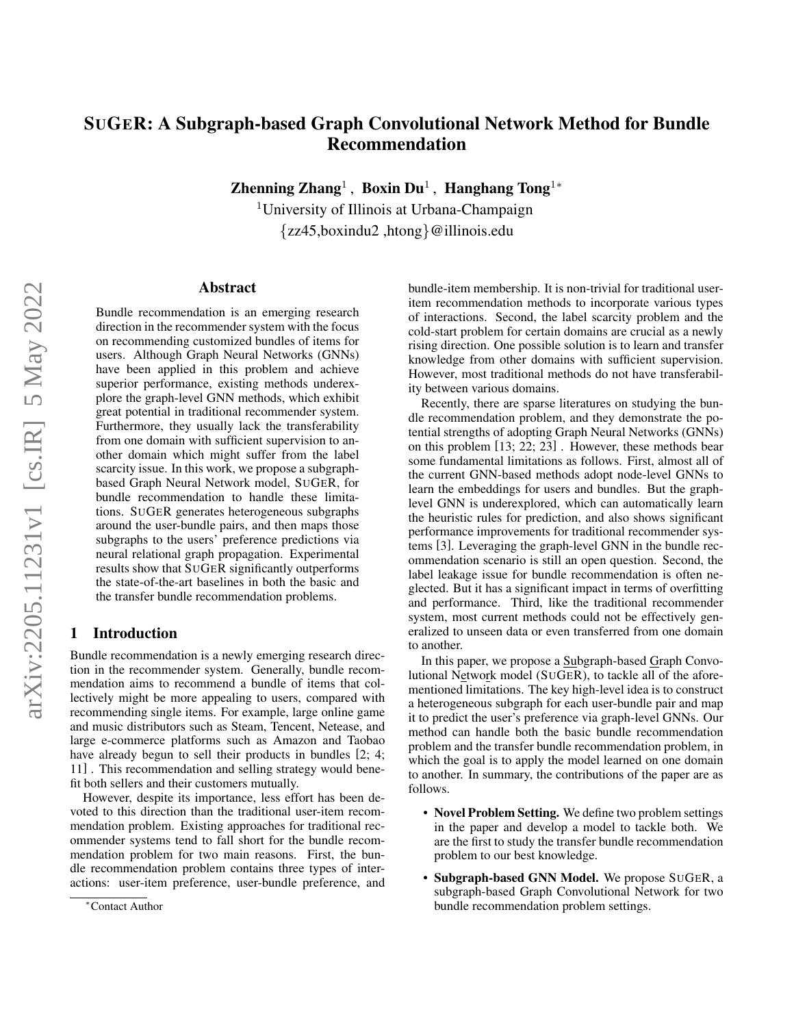# SUGER: A Subgraph-based Graph Convolutional Network Method for Bundle Recommendation

Zhenning Zhang<sup>1</sup>, Boxin Du<sup>1</sup>, Hanghang Tong<sup>1</sup>\*

<sup>1</sup>University of Illinois at Urbana-Champaign {zz45,boxindu2 ,htong}@illinois.edu

## Abstract

Bundle recommendation is an emerging research direction in the recommender system with the focus on recommending customized bundles of items for users. Although Graph Neural Networks (GNNs) have been applied in this problem and achieve superior performance, existing methods underexplore the graph-level GNN methods, which exhibit great potential in traditional recommender system. Furthermore, they usually lack the transferability from one domain with sufficient supervision to another domain which might suffer from the label scarcity issue. In this work, we propose a subgraphbased Graph Neural Network model, SUGER, for bundle recommendation to handle these limitations. SUGER generates heterogeneous subgraphs around the user-bundle pairs, and then maps those subgraphs to the users' preference predictions via neural relational graph propagation. Experimental results show that SUGER significantly outperforms the state-of-the-art baselines in both the basic and the transfer bundle recommendation problems.

# 1 Introduction

Bundle recommendation is a newly emerging research direction in the recommender system. Generally, bundle recommendation aims to recommend a bundle of items that collectively might be more appealing to users, compared with recommending single items. For example, large online game and music distributors such as Steam, Tencent, Netease, and large e-commerce platforms such as Amazon and Taobao have already begun to sell their products in bundles [\[2;](#page-6-0) [4;](#page-6-1) [11\]](#page-6-2) . This recommendation and selling strategy would benefit both sellers and their customers mutually.

However, despite its importance, less effort has been devoted to this direction than the traditional user-item recommendation problem. Existing approaches for traditional recommender systems tend to fall short for the bundle recommendation problem for two main reasons. First, the bundle recommendation problem contains three types of interactions: user-item preference, user-bundle preference, and bundle-item membership. It is non-trivial for traditional useritem recommendation methods to incorporate various types of interactions. Second, the label scarcity problem and the cold-start problem for certain domains are crucial as a newly rising direction. One possible solution is to learn and transfer knowledge from other domains with sufficient supervision. However, most traditional methods do not have transferability between various domains.

Recently, there are sparse literatures on studying the bundle recommendation problem, and they demonstrate the potential strengths of adopting Graph Neural Networks (GNNs) on this problem [\[13;](#page-6-3) [22;](#page-6-4) [23\]](#page-6-5) . However, these methods bear some fundamental limitations as follows. First, almost all of the current GNN-based methods adopt node-level GNNs to learn the embeddings for users and bundles. But the graphlevel GNN is underexplored, which can automatically learn the heuristic rules for prediction, and also shows significant performance improvements for traditional recommender systems [\[3\]](#page-6-6). Leveraging the graph-level GNN in the bundle recommendation scenario is still an open question. Second, the label leakage issue for bundle recommendation is often neglected. But it has a significant impact in terms of overfitting and performance. Third, like the traditional recommender system, most current methods could not be effectively generalized to unseen data or even transferred from one domain to another.

In this paper, we propose a Subgraph-based Graph Convolutional Network model (SUGER), to tackle all of the aforementioned limitations. The key high-level idea is to construct a heterogeneous subgraph for each user-bundle pair and map it to predict the user's preference via graph-level GNNs. Our method can handle both the basic bundle recommendation problem and the transfer bundle recommendation problem, in which the goal is to apply the model learned on one domain to another. In summary, the contributions of the paper are as follows.

- Novel Problem Setting. We define two problem settings in the paper and develop a model to tackle both. We are the first to study the transfer bundle recommendation problem to our best knowledge.
- Subgraph-based GNN Model. We propose SUGER, a subgraph-based Graph Convolutional Network for two bundle recommendation problem settings.

<sup>∗</sup>Contact Author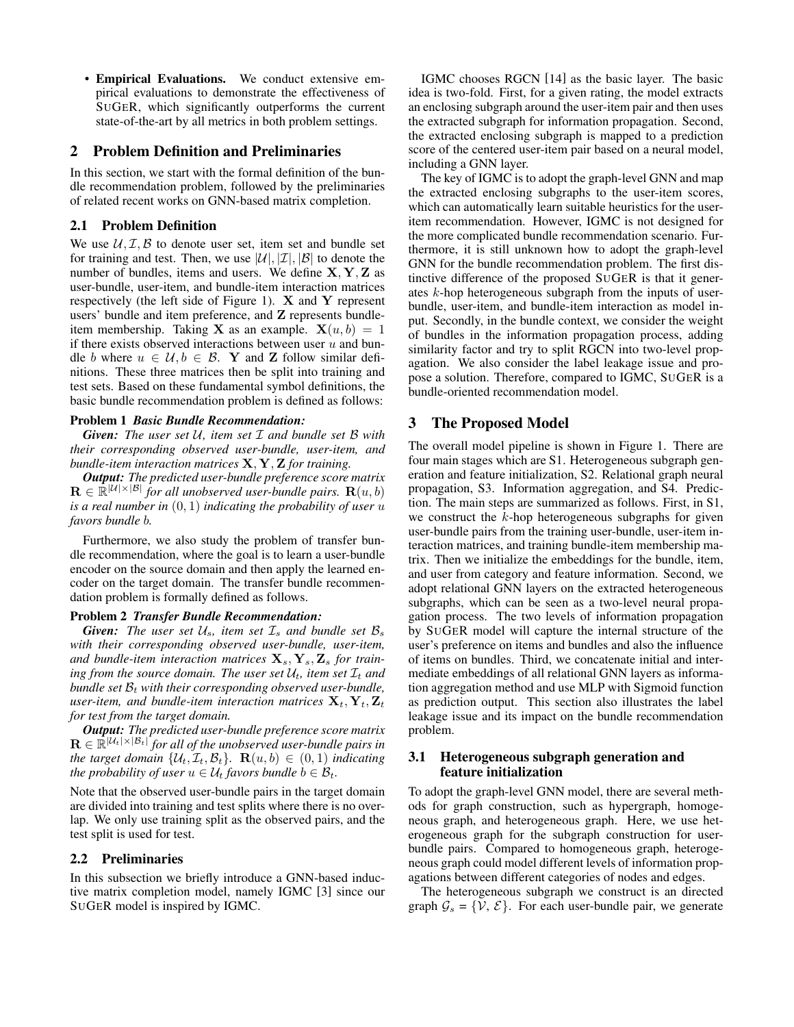• Empirical Evaluations. We conduct extensive empirical evaluations to demonstrate the effectiveness of SUGER, which significantly outperforms the current state-of-the-art by all metrics in both problem settings.

# 2 Problem Definition and Preliminaries

In this section, we start with the formal definition of the bundle recommendation problem, followed by the preliminaries of related recent works on GNN-based matrix completion.

## 2.1 Problem Definition

We use  $U, \mathcal{I}, \mathcal{B}$  to denote user set, item set and bundle set for training and test. Then, we use  $|\mathcal{U}|, |\mathcal{I}|, |\mathcal{B}|$  to denote the number of bundles, items and users. We define  $X, Y, Z$  as user-bundle, user-item, and bundle-item interaction matrices respectively (the left side of Figure [1\)](#page-2-0).  $X$  and  $Y$  represent users' bundle and item preference, and Z represents bundleitem membership. Taking **X** as an example.  $X(u, b) = 1$ if there exists observed interactions between user  $u$  and bundle b where  $u \in \mathcal{U}, b \in \mathcal{B}$ . Y and Z follow similar definitions. These three matrices then be split into training and test sets. Based on these fundamental symbol definitions, the basic bundle recommendation problem is defined as follows:

#### Problem 1 *Basic Bundle Recommendation:*

*Given: The user set* U*, item set* I *and bundle set* B *with their corresponding observed user-bundle, user-item, and bundle-item interaction matrices* X, Y, Z *for training.*

*Output: The predicted user-bundle preference score matrix*  $\mathbf{R} \in \mathbb{R}^{|\mathcal{U}| \times |\mathcal{B}|}$  for all unobserved user-bundle pairs.  $\mathbf{R}(u, b)$ *is a real number in* (0, 1) *indicating the probability of user* u *favors bundle* b*.*

Furthermore, we also study the problem of transfer bundle recommendation, where the goal is to learn a user-bundle encoder on the source domain and then apply the learned encoder on the target domain. The transfer bundle recommendation problem is formally defined as follows.

#### Problem 2 *Transfer Bundle Recommendation:*

*Given:* The user set  $U_s$ , item set  $\mathcal{I}_s$  and bundle set  $\mathcal{B}_s$ *with their corresponding observed user-bundle, user-item,* and bundle-item interaction matrices  $X_s, Y_s, Z_s$  for train*ing from the source domain. The user set*  $U_t$ *, item set*  $\mathcal{I}_t$  *and bundle set*  $B_t$  *with their corresponding observed user-bundle, user-item, and bundle-item interaction matrices*  $\mathbf{X}_t$ ,  $\mathbf{Y}_t$ ,  $\mathbf{Z}_t$ *for test from the target domain.*

*Output: The predicted user-bundle preference score matrix*  $\mathbf{R} \in \mathbb{R}^{|\mathcal{U}_t|\times |\mathcal{B}_t|}$  for all of the unobserved user-bundle pairs in *the target domain*  $\{U_t, \mathcal{I}_t, \mathcal{B}_t\}$ .  $\mathbf{R}(u, b) \in (0, 1)$  *indicating the probability of user*  $u \in \mathcal{U}_t$  *favors bundle*  $b \in \mathcal{B}_t$ *.* 

Note that the observed user-bundle pairs in the target domain are divided into training and test splits where there is no overlap. We only use training split as the observed pairs, and the test split is used for test.

#### 2.2 Preliminaries

In this subsection we briefly introduce a GNN-based inductive matrix completion model, namely IGMC [\[3\]](#page-6-6) since our SUGER model is inspired by IGMC.

IGMC chooses RGCN [\[14\]](#page-6-7) as the basic layer. The basic idea is two-fold. First, for a given rating, the model extracts an enclosing subgraph around the user-item pair and then uses the extracted subgraph for information propagation. Second, the extracted enclosing subgraph is mapped to a prediction score of the centered user-item pair based on a neural model, including a GNN layer.

The key of IGMC is to adopt the graph-level GNN and map the extracted enclosing subgraphs to the user-item scores, which can automatically learn suitable heuristics for the useritem recommendation. However, IGMC is not designed for the more complicated bundle recommendation scenario. Furthermore, it is still unknown how to adopt the graph-level GNN for the bundle recommendation problem. The first distinctive difference of the proposed SUGER is that it generates k-hop heterogeneous subgraph from the inputs of userbundle, user-item, and bundle-item interaction as model input. Secondly, in the bundle context, we consider the weight of bundles in the information propagation process, adding similarity factor and try to split RGCN into two-level propagation. We also consider the label leakage issue and propose a solution. Therefore, compared to IGMC, SUGER is a bundle-oriented recommendation model.

# <span id="page-1-0"></span>3 The Proposed Model

The overall model pipeline is shown in Figure [1.](#page-2-0) There are four main stages which are S1. Heterogeneous subgraph generation and feature initialization, S2. Relational graph neural propagation, S3. Information aggregation, and S4. Prediction. The main steps are summarized as follows. First, in S1, we construct the  $k$ -hop heterogeneous subgraphs for given user-bundle pairs from the training user-bundle, user-item interaction matrices, and training bundle-item membership matrix. Then we initialize the embeddings for the bundle, item, and user from category and feature information. Second, we adopt relational GNN layers on the extracted heterogeneous subgraphs, which can be seen as a two-level neural propagation process. The two levels of information propagation by SUGER model will capture the internal structure of the user's preference on items and bundles and also the influence of items on bundles. Third, we concatenate initial and intermediate embeddings of all relational GNN layers as information aggregation method and use MLP with Sigmoid function as prediction output. This section also illustrates the label leakage issue and its impact on the bundle recommendation problem.

## <span id="page-1-1"></span>3.1 Heterogeneous subgraph generation and feature initialization

To adopt the graph-level GNN model, there are several methods for graph construction, such as hypergraph, homogeneous graph, and heterogeneous graph. Here, we use heterogeneous graph for the subgraph construction for userbundle pairs. Compared to homogeneous graph, heterogeneous graph could model different levels of information propagations between different categories of nodes and edges.

The heterogeneous subgraph we construct is an directed graph  $\mathcal{G}_s = \{V, \mathcal{E}\}\$ . For each user-bundle pair, we generate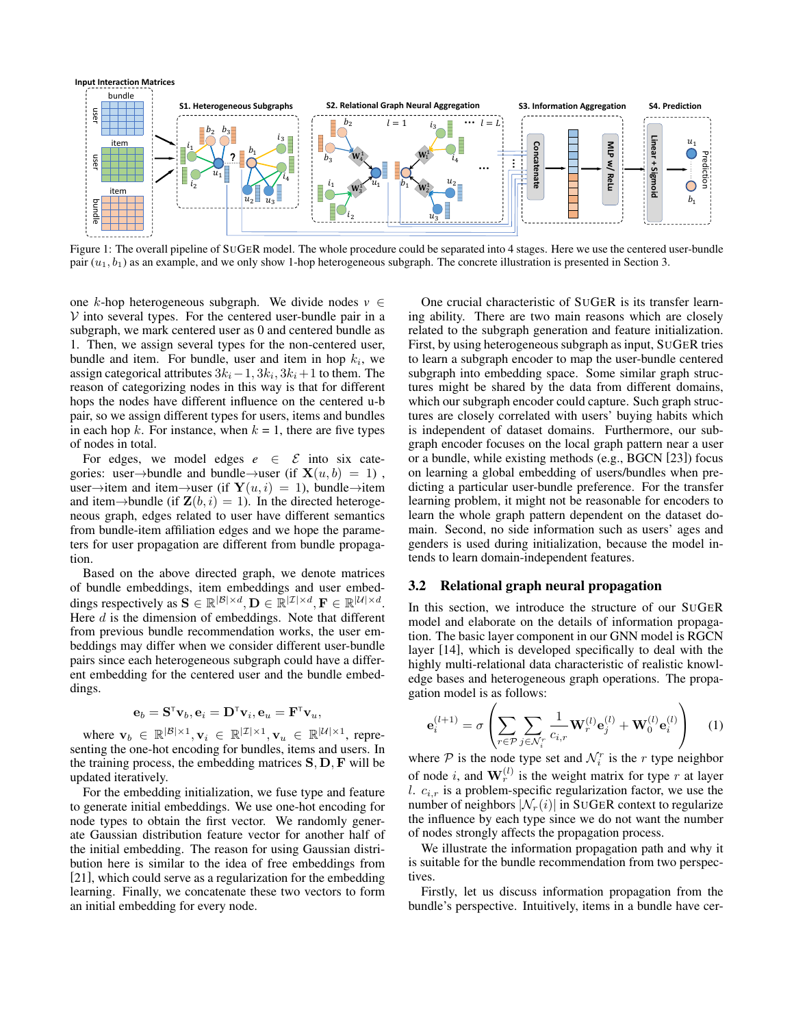<span id="page-2-0"></span>

Figure 1: The overall pipeline of SUGER model. The whole procedure could be separated into 4 stages. Here we use the centered user-bundle pair  $(u_1, b_1)$  as an example, and we only show 1-hop heterogeneous subgraph. The concrete illustration is presented in Section [3.](#page-1-0)

one k-hop heterogeneous subgraph. We divide nodes  $v \in$  $V$  into several types. For the centered user-bundle pair in a subgraph, we mark centered user as 0 and centered bundle as 1. Then, we assign several types for the non-centered user, bundle and item. For bundle, user and item in hop  $k_i$ , we assign categorical attributes  $3k_i - 1$ ,  $3k_i$ ,  $3k_i + 1$  to them. The reason of categorizing nodes in this way is that for different hops the nodes have different influence on the centered u-b pair, so we assign different types for users, items and bundles in each hop k. For instance, when  $k = 1$ , there are five types of nodes in total.

For edges, we model edges  $e \in \mathcal{E}$  into six categories: user→bundle and bundle→user (if  $X(u, b) = 1$ ), user→item and item→user (if  $\mathbf{Y}(u, i) = 1$ ), bundle→item and item→bundle (if  $\mathbf{Z}(b, i) = 1$ ). In the directed heterogeneous graph, edges related to user have different semantics from bundle-item affiliation edges and we hope the parameters for user propagation are different from bundle propagation.

Based on the above directed graph, we denote matrices of bundle embeddings, item embeddings and user embeddings respectively as  $\mathbf{S} \in \mathbb{R}^{|\mathcal{B}| \times d}, \mathbf{D} \in \mathbb{R}^{|\mathcal{I}| \times d}, \mathbf{F} \in \mathbb{R}^{|\mathcal{U}| \times d}.$ Here  $d$  is the dimension of embeddings. Note that different from previous bundle recommendation works, the user embeddings may differ when we consider different user-bundle pairs since each heterogeneous subgraph could have a different embedding for the centered user and the bundle embeddings.

$$
\mathbf{e}_b = \mathbf{S}^{\scriptscriptstyle \sf T} \mathbf{v}_b, \mathbf{e}_i = \mathbf{D}^{\scriptscriptstyle \sf T} \mathbf{v}_i, \mathbf{e}_u = \mathbf{F}^{\scriptscriptstyle \sf T} \mathbf{v}_u,
$$

where  $\mathbf{v}_b \in \mathbb{R}^{|\mathcal{B}| \times 1}, \mathbf{v}_i \in \mathbb{R}^{|\mathcal{I}| \times 1}, \mathbf{v}_u \in \mathbb{R}^{|\mathcal{U}| \times 1}$ , representing the one-hot encoding for bundles, items and users. In the training process, the embedding matrices  $S, D, F$  will be updated iteratively.

For the embedding initialization, we fuse type and feature to generate initial embeddings. We use one-hot encoding for node types to obtain the first vector. We randomly generate Gaussian distribution feature vector for another half of the initial embedding. The reason for using Gaussian distribution here is similar to the idea of free embeddings from [\[21\]](#page-6-8), which could serve as a regularization for the embedding learning. Finally, we concatenate these two vectors to form an initial embedding for every node.

One crucial characteristic of SUGER is its transfer learning ability. There are two main reasons which are closely related to the subgraph generation and feature initialization. First, by using heterogeneous subgraph as input, SUGER tries to learn a subgraph encoder to map the user-bundle centered subgraph into embedding space. Some similar graph structures might be shared by the data from different domains, which our subgraph encoder could capture. Such graph structures are closely correlated with users' buying habits which is independent of dataset domains. Furthermore, our subgraph encoder focuses on the local graph pattern near a user or a bundle, while existing methods (e.g., BGCN [\[23\]](#page-6-5)) focus on learning a global embedding of users/bundles when predicting a particular user-bundle preference. For the transfer learning problem, it might not be reasonable for encoders to learn the whole graph pattern dependent on the dataset domain. Second, no side information such as users' ages and genders is used during initialization, because the model intends to learn domain-independent features.

# 3.2 Relational graph neural propagation

In this section, we introduce the structure of our SUGER model and elaborate on the details of information propagation. The basic layer component in our GNN model is RGCN layer [\[14\]](#page-6-7), which is developed specifically to deal with the highly multi-relational data characteristic of realistic knowledge bases and heterogeneous graph operations. The propagation model is as follows:

$$
\mathbf{e}_{i}^{(l+1)} = \sigma \left( \sum_{r \in \mathcal{P}} \sum_{j \in \mathcal{N}_{i}^{r}} \frac{1}{c_{i,r}} \mathbf{W}_{r}^{(l)} \mathbf{e}_{j}^{(l)} + \mathbf{W}_{0}^{(l)} \mathbf{e}_{i}^{(l)} \right) \quad (1)
$$

where  $P$  is the node type set and  $\mathcal{N}_i^r$  is the r type neighbor of node *i*, and  $\mathbf{W}_r^{(l)}$  is the weight matrix for type *r* at layer l.  $c_{i,r}$  is a problem-specific regularization factor, we use the number of neighbors  $|\mathcal{N}_r(i)|$  in SUGER context to regularize the influence by each type since we do not want the number of nodes strongly affects the propagation process.

We illustrate the information propagation path and why it is suitable for the bundle recommendation from two perspectives.

Firstly, let us discuss information propagation from the bundle's perspective. Intuitively, items in a bundle have cer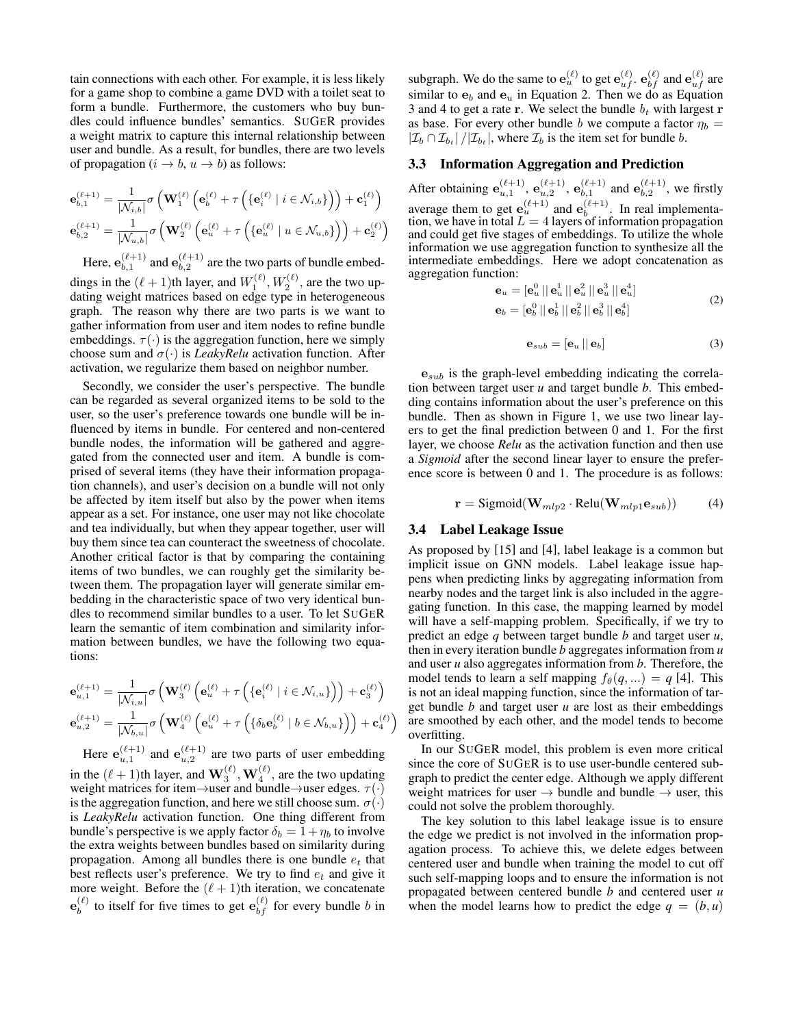tain connections with each other. For example, it is less likely for a game shop to combine a game DVD with a toilet seat to form a bundle. Furthermore, the customers who buy bundles could influence bundles' semantics. SUGER provides a weight matrix to capture this internal relationship between user and bundle. As a result, for bundles, there are two levels of propagation  $(i \rightarrow b, u \rightarrow b)$  as follows:

<span id="page-3-0"></span>
$$
\mathbf{e}_{b,1}^{(\ell+1)} = \frac{1}{|\mathcal{N}_{i,b}|} \sigma \left( \mathbf{W}_{1}^{(\ell)} \left( \mathbf{e}_{b}^{(\ell)} + \tau \left( \{ \mathbf{e}_{i}^{(\ell)} \mid i \in \mathcal{N}_{i,b} \} \right) \right) + \mathbf{c}_{1}^{(\ell)} \right)
$$

$$
\mathbf{e}_{b,2}^{(\ell+1)} = \frac{1}{|\mathcal{N}_{u,b}|} \sigma \left( \mathbf{W}_{2}^{(\ell)} \left( \mathbf{e}_{u}^{(\ell)} + \tau \left( \{ \mathbf{e}_{u}^{(\ell)} \mid u \in \mathcal{N}_{u,b} \} \right) \right) + \mathbf{c}_{2}^{(\ell)} \right)
$$

Here,  $\mathbf{e}_{h\,1}^{(\ell+1)}$  $_{b,1}^{(\ell+1)}$  and  $\mathbf{e}_{b,2}^{(\ell+1)}$  $\binom{k+1}{b,2}$  are the two parts of bundle embeddings in the  $(\ell + 1)$ th layer, and  $W_1^{(\ell)}$ ,  $W_2^{(\ell)}$ , are the two updating weight matrices based on edge type in heterogeneous graph. The reason why there are two parts is we want to gather information from user and item nodes to refine bundle embeddings.  $\tau(\cdot)$  is the aggregation function, here we simply choose sum and  $\sigma(\cdot)$  is *LeakyRelu* activation function. After activation, we regularize them based on neighbor number.

Secondly, we consider the user's perspective. The bundle can be regarded as several organized items to be sold to the user, so the user's preference towards one bundle will be influenced by items in bundle. For centered and non-centered bundle nodes, the information will be gathered and aggregated from the connected user and item. A bundle is comprised of several items (they have their information propagation channels), and user's decision on a bundle will not only be affected by item itself but also by the power when items appear as a set. For instance, one user may not like chocolate and tea individually, but when they appear together, user will buy them since tea can counteract the sweetness of chocolate. Another critical factor is that by comparing the containing items of two bundles, we can roughly get the similarity between them. The propagation layer will generate similar embedding in the characteristic space of two very identical bundles to recommend similar bundles to a user. To let SUGER learn the semantic of item combination and similarity information between bundles, we have the following two equations:

$$
\mathbf{e}_{u,1}^{(\ell+1)} = \frac{1}{|\mathcal{N}_{i,u}|} \sigma \left( \mathbf{W}_{3}^{(\ell)} \left( \mathbf{e}_{u}^{(\ell)} + \tau \left( \{ \mathbf{e}_{i}^{(\ell)} \mid i \in \mathcal{N}_{i,u} \} \right) \right) + \mathbf{c}_{3}^{(\ell)} \right)
$$

$$
\mathbf{e}_{u,2}^{(\ell+1)} = \frac{1}{|\mathcal{N}_{b,u}|} \sigma \left( \mathbf{W}_{4}^{(\ell)} \left( \mathbf{e}_{u}^{(\ell)} + \tau \left( \{ \delta_b \mathbf{e}_{b}^{(\ell)} \mid b \in \mathcal{N}_{b,u} \} \right) \right) + \mathbf{c}_{4}^{(\ell)} \right)
$$

Here  $e_{u,1}^{(\ell+1)}$  and  $e_{u,2}^{(\ell+1)}$  are two parts of user embedding in the  $(\ell + 1)$ th layer, and  $\mathbf{W}_{3}^{(\ell)}$ ,  $\mathbf{W}_{4}^{(\ell)}$ , are the two updating weight matrices for item→user and bundle→user edges.  $\tau(\cdot)$ is the aggregation function, and here we still choose sum.  $\sigma(\cdot)$ is *LeakyRelu* activation function. One thing different from bundle's perspective is we apply factor  $\delta_b = 1 + \eta_b$  to involve the extra weights between bundles based on similarity during propagation. Among all bundles there is one bundle  $e_t$  that best reflects user's preference. We try to find  $e_t$  and give it more weight. Before the  $(\ell + 1)$ th iteration, we concatenate  $\mathbf{e}_h^{(\ell)}$  $\mathbf{b}_{b}^{(\ell)}$  to itself for five times to get  $\mathbf{e}_{bf}^{(\ell)}$  for every bundle b in

subgraph. We do the same to  $\mathbf{e}_u^{(\ell)}$  to get  $\mathbf{e}_{uf}^{(\ell)}$ .  $\mathbf{e}_{bf}^{(\ell)}$  and  $\mathbf{e}_{uf}^{(\ell)}$  are similar to  $e_b$  and  $e_u$  in Equation [2.](#page-3-0) Then we do as Equation [3](#page-3-1) and [4](#page-3-2) to get a rate r. We select the bundle  $b_t$  with largest r as base. For every other bundle b we compute a factor  $\eta_b$  =  $|\mathcal{I}_b \cap \mathcal{I}_{b_t}| / |\mathcal{I}_{b_t}|$ , where  $\mathcal{I}_b$  is the item set for bundle b.

## <span id="page-3-3"></span>3.3 Information Aggregation and Prediction

After obtaining  $e_{u,1}^{(\ell+1)}$ ,  $e_{u,2}^{(\ell+1)}$ ,  $e_{b,1}^{(\ell+1)}$  $\mathbf{e}_{b,1}^{(\ell+1)}$  and  $\mathbf{e}_{b,2}^{(\ell+1)}$  $b, 2<sup>(\ell+1)</sup>$ , we firstly average them to get  $e_u^{(\ell+1)}$  and  $e_b^{(\ell+1)}$  $b_{b}^{(\ell+1)}$ . In real implementation, we have in total  $L = 4$  layers of information propagation and could get five stages of embeddings. To utilize the whole information we use aggregation function to synthesize all the intermediate embeddings. Here we adopt concatenation as aggregation function:

$$
\mathbf{e}_{u} = [\mathbf{e}_{u}^{0} || \mathbf{e}_{u}^{1} || \mathbf{e}_{u}^{2} || \mathbf{e}_{u}^{3} || \mathbf{e}_{u}^{4}]
$$
  
\n
$$
\mathbf{e}_{b} = [\mathbf{e}_{b}^{0} || \mathbf{e}_{b}^{1} || \mathbf{e}_{b}^{2} || \mathbf{e}_{b}^{3} || \mathbf{e}_{b}^{4}]
$$
 (2)

$$
\mathbf{e}_{sub} = [\mathbf{e}_u || \mathbf{e}_b] \tag{3}
$$

<span id="page-3-1"></span> $e_{sub}$  is the graph-level embedding indicating the correlation between target user *u* and target bundle *b*. This embedding contains information about the user's preference on this bundle. Then as shown in Figure [1,](#page-2-0) we use two linear layers to get the final prediction between 0 and 1. For the first layer, we choose *Relu* as the activation function and then use a *Sigmoid* after the second linear layer to ensure the preference score is between 0 and 1. The procedure is as follows:

$$
\mathbf{r} = \text{Sigmoid}(\mathbf{W}_{mlp2} \cdot \text{Relu}(\mathbf{W}_{mlp1} \mathbf{e}_{sub})) \tag{4}
$$

#### <span id="page-3-2"></span>3.4 Label Leakage Issue

As proposed by [\[15\]](#page-6-9) and [\[4\]](#page-6-1), label leakage is a common but implicit issue on GNN models. Label leakage issue happens when predicting links by aggregating information from nearby nodes and the target link is also included in the aggregating function. In this case, the mapping learned by model will have a self-mapping problem. Specifically, if we try to predict an edge *q* between target bundle *b* and target user *u*, then in every iteration bundle *b* aggregates information from *u* and user *u* also aggregates information from *b*. Therefore, the model tends to learn a self mapping  $f_{\theta}(q, \ldots) = q$  [\[4\]](#page-6-1). This is not an ideal mapping function, since the information of target bundle *b* and target user *u* are lost as their embeddings are smoothed by each other, and the model tends to become overfitting.

In our SUGER model, this problem is even more critical since the core of SUGER is to use user-bundle centered subgraph to predict the center edge. Although we apply different weight matrices for user  $\rightarrow$  bundle and bundle  $\rightarrow$  user, this could not solve the problem thoroughly.

The key solution to this label leakage issue is to ensure the edge we predict is not involved in the information propagation process. To achieve this, we delete edges between centered user and bundle when training the model to cut off such self-mapping loops and to ensure the information is not propagated between centered bundle *b* and centered user *u* when the model learns how to predict the edge  $q = (b, u)$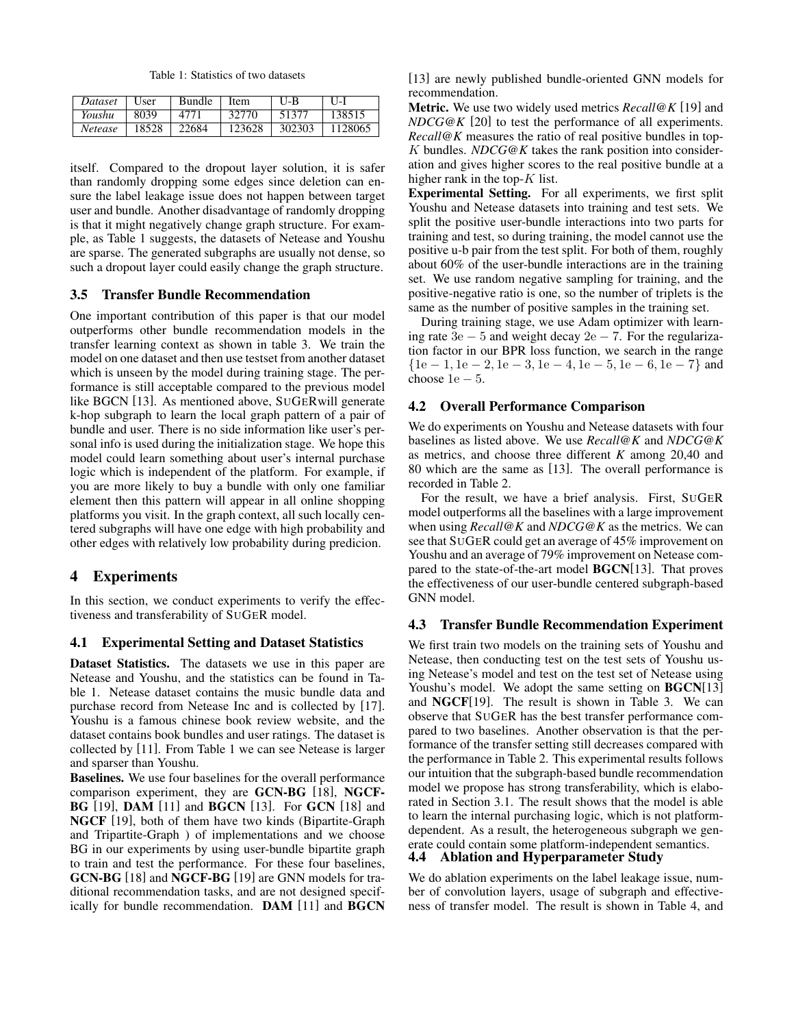Table 1: Statistics of two datasets

<span id="page-4-0"></span>

| Dataset | User  | <b>Bundle</b> | Item   | $U-B$  | $II-I$  |
|---------|-------|---------------|--------|--------|---------|
| Youshu  | 8039  | 4771          | 32770  | 51377  | 138515  |
| Netease | 18528 | 22684         | 123628 | 302303 | 1128065 |

itself. Compared to the dropout layer solution, it is safer than randomly dropping some edges since deletion can ensure the label leakage issue does not happen between target user and bundle. Another disadvantage of randomly dropping is that it might negatively change graph structure. For example, as Table [1](#page-4-0) suggests, the datasets of Netease and Youshu are sparse. The generated subgraphs are usually not dense, so such a dropout layer could easily change the graph structure.

#### 3.5 Transfer Bundle Recommendation

One important contribution of this paper is that our model outperforms other bundle recommendation models in the transfer learning context as shown in table [3.](#page-5-0) We train the model on one dataset and then use testset from another dataset which is unseen by the model during training stage. The performance is still acceptable compared to the previous model like BGCN [\[13\]](#page-6-3). As mentioned above, SUGERwill generate k-hop subgraph to learn the local graph pattern of a pair of bundle and user. There is no side information like user's personal info is used during the initialization stage. We hope this model could learn something about user's internal purchase logic which is independent of the platform. For example, if you are more likely to buy a bundle with only one familiar element then this pattern will appear in all online shopping platforms you visit. In the graph context, all such locally centered subgraphs will have one edge with high probability and other edges with relatively low probability during predicion.

# 4 Experiments

In this section, we conduct experiments to verify the effectiveness and transferability of SUGER model.

## 4.1 Experimental Setting and Dataset Statistics

Dataset Statistics. The datasets we use in this paper are Netease and Youshu, and the statistics can be found in Table [1.](#page-4-0) Netease dataset contains the music bundle data and purchase record from Netease Inc and is collected by [\[17\]](#page-6-10). Youshu is a famous chinese book review website, and the dataset contains book bundles and user ratings. The dataset is collected by [\[11\]](#page-6-2). From Table [1](#page-4-0) we can see Netease is larger and sparser than Youshu.

Baselines. We use four baselines for the overall performance comparison experiment, they are GCN-BG [\[18\]](#page-6-11), NGCF-BG [\[19\]](#page-6-12), DAM [\[11\]](#page-6-2) and BGCN [\[13\]](#page-6-3). For GCN [\[18\]](#page-6-11) and NGCF [\[19\]](#page-6-12), both of them have two kinds (Bipartite-Graph and Tripartite-Graph ) of implementations and we choose BG in our experiments by using user-bundle bipartite graph to train and test the performance. For these four baselines, GCN-BG [\[18\]](#page-6-11) and NGCF-BG [\[19\]](#page-6-12) are GNN models for traditional recommendation tasks, and are not designed specifically for bundle recommendation. DAM [\[11\]](#page-6-2) and BGCN [\[13\]](#page-6-3) are newly published bundle-oriented GNN models for recommendation.

Metric. We use two widely used metrics *Recall@K* [\[19\]](#page-6-12) and *NDCG@K* [\[20\]](#page-6-13) to test the performance of all experiments. *Recall@K* measures the ratio of real positive bundles in top-K bundles. *NDCG@K* takes the rank position into consideration and gives higher scores to the real positive bundle at a higher rank in the top- $K$  list.

Experimental Setting. For all experiments, we first split Youshu and Netease datasets into training and test sets. We split the positive user-bundle interactions into two parts for training and test, so during training, the model cannot use the positive u-b pair from the test split. For both of them, roughly about 60% of the user-bundle interactions are in the training set. We use random negative sampling for training, and the positive-negative ratio is one, so the number of triplets is the same as the number of positive samples in the training set.

During training stage, we use Adam optimizer with learning rate  $3e - 5$  and weight decay  $2e - 7$ . For the regularization factor in our BPR loss function, we search in the range  ${1e-1, 1e-2, 1e-3, 1e-4, 1e-5, 1e-6, 1e-7}$  and choose  $1e - 5$ .

# 4.2 Overall Performance Comparison

We do experiments on Youshu and Netease datasets with four baselines as listed above. We use *Recall@K* and *NDCG@K* as metrics, and choose three different *K* among 20,40 and 80 which are the same as [\[13\]](#page-6-3). The overall performance is recorded in Table [2.](#page-5-1)

For the result, we have a brief analysis. First, SUGER model outperforms all the baselines with a large improvement when using *Recall@K* and *NDCG@K* as the metrics. We can see that SUGER could get an average of 45% improvement on Youshu and an average of 79% improvement on Netease compared to the state-of-the-art model BGCN[\[13\]](#page-6-3). That proves the effectiveness of our user-bundle centered subgraph-based GNN model.

#### 4.3 Transfer Bundle Recommendation Experiment

We first train two models on the training sets of Youshu and Netease, then conducting test on the test sets of Youshu using Netease's model and test on the test set of Netease using Youshu's model. We adopt the same setting on **BGCN**[\[13\]](#page-6-3) and NGCF[\[19\]](#page-6-12). The result is shown in Table [3.](#page-5-0) We can observe that SUGER has the best transfer performance compared to two baselines. Another observation is that the performance of the transfer setting still decreases compared with the performance in Table [2.](#page-5-1) This experimental results follows our intuition that the subgraph-based bundle recommendation model we propose has strong transferability, which is elaborated in Section [3.1.](#page-1-1) The result shows that the model is able to learn the internal purchasing logic, which is not platformdependent. As a result, the heterogeneous subgraph we generate could contain some platform-independent semantics. 4.4 Ablation and Hyperparameter Study

We do ablation experiments on the label leakage issue, number of convolution layers, usage of subgraph and effectiveness of transfer model. The result is shown in Table [4,](#page-5-2) and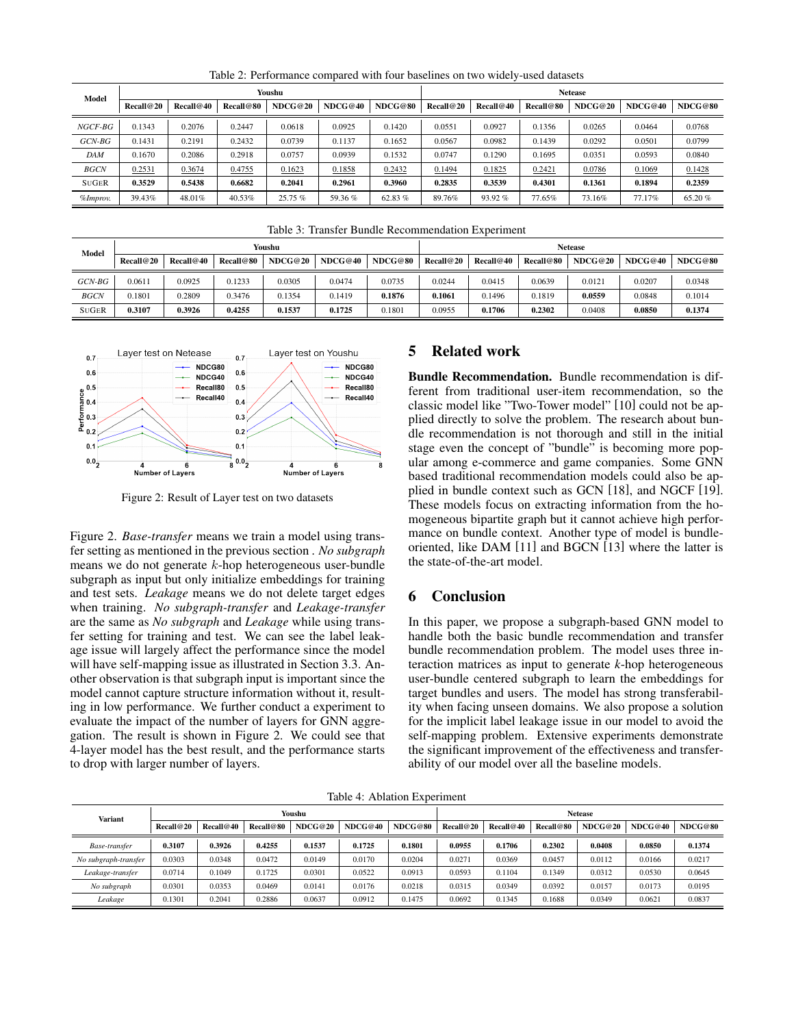<span id="page-5-1"></span>

| Model        |           | Youshu    |           |         |         |           |           |           | <b>Netease</b> |         |         |         |  |  |  |
|--------------|-----------|-----------|-----------|---------|---------|-----------|-----------|-----------|----------------|---------|---------|---------|--|--|--|
|              | Recall@20 | Recall@40 | Recall@80 | NDCG@20 | NDCG@40 | NDCG@80   | Recall@20 | Recall@40 | Recall@80      | NDCG@20 | NDCG@40 | NDCG@80 |  |  |  |
| $NGCF-BG$    | 0.1343    | 0.2076    | 0.2447    | 0.0618  | 0.0925  | 0.1420    | 0.0551    | 0.0927    | 0.1356         | 0.0265  | 0.0464  | 0.0768  |  |  |  |
| $GCN-BG$     | 0.1431    | 0.2191    | 0.2432    | 0.0739  | 0.1137  | 0.1652    | 0.0567    | 0.0982    | 0.1439         | 0.0292  | 0.0501  | 0.0799  |  |  |  |
| <b>DAM</b>   | 0.1670    | 0.2086    | 0.2918    | 0.0757  | 0.0939  | 0.1532    | 0.0747    | 0.1290    | 0.1695         | 0.0351  | 0.0593  | 0.0840  |  |  |  |
| <b>BGCN</b>  | 0.2531    | 0.3674    | 0.4755    | 0.1623  | 0.1858  | 0.2432    | 0.1494    | 0.1825    | 0.2421         | 0.0786  | 0.1069  | 0.1428  |  |  |  |
| <b>SUGER</b> | 0.3529    | 0.5438    | 0.6682    | 0.2041  | 0.2961  | 0.3960    | 0.2835    | 0.3539    | 0.4301         | 0.1361  | 0.1894  | 0.2359  |  |  |  |
| %Improv.     | 39.43%    | 48.01%    | 40.53%    | 25.75%  | 59.36%  | 62.83 $%$ | 89.76%    | 93.92%    | 77.65%         | 73.16%  | 77.17%  | 65.20%  |  |  |  |

Table 2: Performance compared with four baselines on two widely-used datasets

|  |  |  | Table 3: Transfer Bundle Recommendation Experiment |  |  |
|--|--|--|----------------------------------------------------|--|--|
|--|--|--|----------------------------------------------------|--|--|

<span id="page-5-0"></span>

| Model        | Youshu    |           |           |         |         |         |           | <b>Netease</b> |                  |         |         |         |  |  |
|--------------|-----------|-----------|-----------|---------|---------|---------|-----------|----------------|------------------|---------|---------|---------|--|--|
|              | Recall@20 | Recall@40 | Recall@80 | NDCG@20 | NDCG@40 | NDCG@80 | Recall@20 | Recall@40      | <b>Recall@80</b> | NDCG@20 | NDCG@40 | NDCG@80 |  |  |
| $GCN-BG$     | 0.0611    | 0.0925    | 0.1233    | 0.0305  | 0.0474  | 0.0735  | 0.0244    | 0.0415         | 0.0639           | 0.0121  | 0.0207  | 0.0348  |  |  |
| <b>BGCN</b>  | 0.1801    | 0.2809    | 0.3476    | 0.1354  | 0.1419  | 0.1876  | 0.1061    | 0.1496         | 0.1819           | 0.0559  | 0.0848  | 0.1014  |  |  |
| <b>SUGER</b> | 0.3107    | 0.3926    | 0.4255    | 0.1537  | 0.1725  | 0.1801  | 0.0955    | 0.1706         | 0.2302           | 0.0408  | 0.0850  | 0.1374  |  |  |

<span id="page-5-3"></span>

Figure 2: Result of Layer test on two datasets

Figure [2.](#page-5-3) *Base-transfer* means we train a model using transfer setting as mentioned in the previous section . *No subgraph* means we do not generate k-hop heterogeneous user-bundle subgraph as input but only initialize embeddings for training and test sets. *Leakage* means we do not delete target edges when training. *No subgraph-transfer* and *Leakage-transfer* are the same as *No subgraph* and *Leakage* while using transfer setting for training and test. We can see the label leakage issue will largely affect the performance since the model will have self-mapping issue as illustrated in Section [3.3.](#page-3-3) Another observation is that subgraph input is important since the model cannot capture structure information without it, resulting in low performance. We further conduct a experiment to evaluate the impact of the number of layers for GNN aggregation. The result is shown in Figure [2.](#page-5-3) We could see that 4-layer model has the best result, and the performance starts to drop with larger number of layers.

# 5 Related work

Bundle Recommendation. Bundle recommendation is different from traditional user-item recommendation, so the classic model like "Two-Tower model" [\[10\]](#page-6-14) could not be applied directly to solve the problem. The research about bundle recommendation is not thorough and still in the initial stage even the concept of "bundle" is becoming more popular among e-commerce and game companies. Some GNN based traditional recommendation models could also be applied in bundle context such as GCN [\[18\]](#page-6-11), and NGCF [\[19\]](#page-6-12). These models focus on extracting information from the homogeneous bipartite graph but it cannot achieve high performance on bundle context. Another type of model is bundleoriented, like DAM [\[11\]](#page-6-2) and BGCN [\[13\]](#page-6-3) where the latter is the state-of-the-art model.

# 6 Conclusion

In this paper, we propose a subgraph-based GNN model to handle both the basic bundle recommendation and transfer bundle recommendation problem. The model uses three interaction matrices as input to generate *k*-hop heterogeneous user-bundle centered subgraph to learn the embeddings for target bundles and users. The model has strong transferability when facing unseen domains. We also propose a solution for the implicit label leakage issue in our model to avoid the self-mapping problem. Extensive experiments demonstrate the significant improvement of the effectiveness and transferability of our model over all the baseline models.

Table 4: Ablation Experiment

<span id="page-5-2"></span>

| <b>Variant</b>       |           |           |                  | Youshu  |         | <b>Netease</b> |           |           |           |         |         |         |
|----------------------|-----------|-----------|------------------|---------|---------|----------------|-----------|-----------|-----------|---------|---------|---------|
|                      | Recall@20 | Recall@40 | <b>Recall@80</b> | NDCG@20 | NDCG@40 | NDCG@80        | Recall@20 | Recall@40 | Recall@80 | NDCG@20 | NDCG@40 | NDCG@80 |
| Base-transfer        | 0.3107    | 0.3926    | 0.4255           | 0.1537  | 0.1725  | 0.1801         | 0.0955    | 0.1706    | 0.2302    | 0.0408  | 0.0850  | 0.1374  |
| No subgraph-transfer | 0.0303    | 0.0348    | 0.0472           | 0.0149  | 0.0170  | 0.0204         | 0.0271    | 0.0369    | 0.0457    | 0.0112  | 0.0166  | 0.0217  |
| Leakage-transfer     | 0.0714    | 0.1049    | 0.1725           | 0.0301  | 0.0522  | 0.0913         | 0.0593    | 0.1104    | 0.1349    | 0.0312  | 0.0530  | 0.0645  |
| No subgraph          | 0.0301    | 0.0353    | 0.0469           | 0.0141  | 0.0176  | 0.0218         | 0.0315    | 0.0349    | 0.0392    | 0.0157  | 0.0173  | 0.0195  |
| Leakage              | 0.1301    | 0.2041    | 0.2886           | 0.0637  | 0.0912  | 0.1475         | 0.0692    | 0.1345    | 0.1688    | 0.0349  | 0.0621  | 0.0837  |